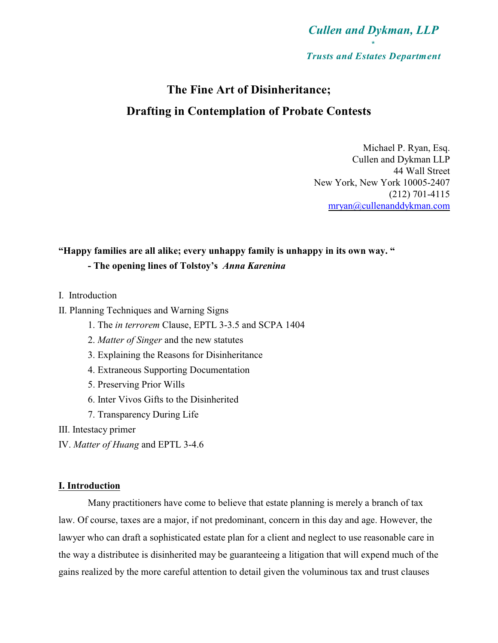

# **The Fine Art of Disinheritance; Drafting in Contemplation of Probate Contests**

Michael P. Ryan, Esq. Cullen and Dykman LLP 44 Wall Street New York, New York 10005-2407 (212) 701-4115 [mryan@cullenanddykman.com](mailto:mryan@cullenanddukman.com)

#### **"Happy families are all alike; every unhappy family is unhappy in its own way. "**

#### **- The opening lines of Tolstoy's** *Anna Karenina*

- I. Introduction
- II. Planning Techniques and Warning Signs
	- 1. The *in terrorem* Clause, EPTL 3-3.5 and SCPA 1404
	- 2. *Matter of Singer* and the new statutes
	- 3. Explaining the Reasons for Disinheritance
	- 4. Extraneous Supporting Documentation
	- 5. Preserving Prior Wills
	- 6. Inter Vivos Gifts to the Disinherited
	- 7. Transparency During Life
- III. Intestacy primer
- IV. *Matter of Huang* and EPTL 3-4.6

#### **I. Introduction**

Many practitioners have come to believe that estate planning is merely a branch of tax law. Of course, taxes are a major, if not predominant, concern in this day and age. However, the lawyer who can draft a sophisticated estate plan for a client and neglect to use reasonable care in the way a distributee is disinherited may be guaranteeing a litigation that will expend much of the gains realized by the more careful attention to detail given the voluminous tax and trust clauses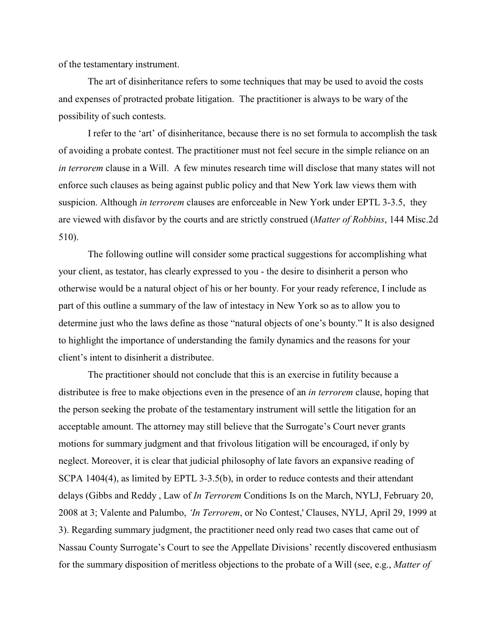of the testamentary instrument.

The art of disinheritance refers to some techniques that may be used to avoid the costs and expenses of protracted probate litigation. The practitioner is always to be wary of the possibility of such contests.

I refer to the 'art' of disinheritance, because there is no set formula to accomplish the task of avoiding a probate contest. The practitioner must not feel secure in the simple reliance on an *in terrorem* clause in a Will. A few minutes research time will disclose that many states will not enforce such clauses as being against public policy and that New York law views them with suspicion. Although *in terrorem* clauses are enforceable in New York under EPTL 3-3.5, they are viewed with disfavor by the courts and are strictly construed (*Matter of Robbins*, 144 Misc.2d 510).

The following outline will consider some practical suggestions for accomplishing what your client, as testator, has clearly expressed to you - the desire to disinherit a person who otherwise would be a natural object of his or her bounty. For your ready reference, I include as part of this outline a summary of the law of intestacy in New York so as to allow you to determine just who the laws define as those "natural objects of one's bounty." It is also designed to highlight the importance of understanding the family dynamics and the reasons for your client's intent to disinherit a distributee.

The practitioner should not conclude that this is an exercise in futility because a distributee is free to make objections even in the presence of an *in terrorem* clause, hoping that the person seeking the probate of the testamentary instrument will settle the litigation for an acceptable amount. The attorney may still believe that the Surrogate's Court never grants motions for summary judgment and that frivolous litigation will be encouraged, if only by neglect. Moreover, it is clear that judicial philosophy of late favors an expansive reading of SCPA 1404(4), as limited by EPTL 3-3.5(b), in order to reduce contests and their attendant delays (Gibbs and Reddy , Law of *In Terrorem* Conditions Is on the March, NYLJ, February 20, 2008 at 3; Valente and Palumbo, *'In Terrorem*, or No Contest,' Clauses, NYLJ, April 29, 1999 at 3). Regarding summary judgment, the practitioner need only read two cases that came out of Nassau County Surrogate's Court to see the Appellate Divisions' recently discovered enthusiasm for the summary disposition of meritless objections to the probate of a Will (see, e.g., *Matter of*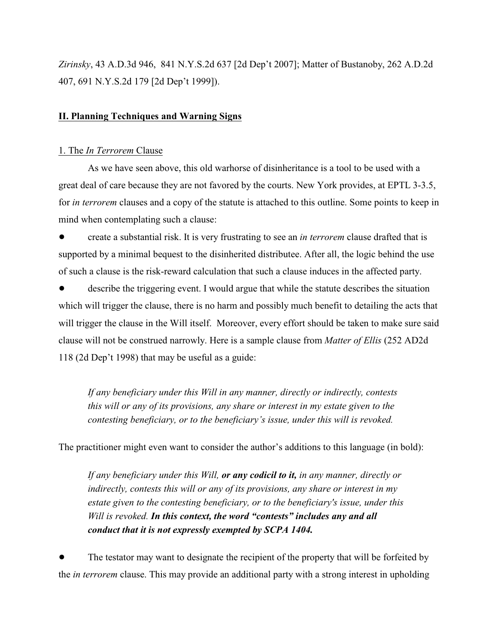*Zirinsky*, 43 A.D.3d 946, 841 N.Y.S.2d 637 [2d Dep't 2007]; Matter of Bustanoby, 262 A.D.2d 407, 691 N.Y.S.2d 179 [2d Dep't 1999]).

#### **II. Planning Techniques and Warning Signs**

#### 1. The *In Terrorem* Clause

As we have seen above, this old warhorse of disinheritance is a tool to be used with a great deal of care because they are not favored by the courts. New York provides, at EPTL 3-3.5, for *in terrorem* clauses and a copy of the statute is attached to this outline. Some points to keep in mind when contemplating such a clause:

! create a substantial risk. It is very frustrating to see an *in terrorem* clause drafted that is supported by a minimal bequest to the disinherited distributee. After all, the logic behind the use of such a clause is the risk-reward calculation that such a clause induces in the affected party.

describe the triggering event. I would argue that while the statute describes the situation which will trigger the clause, there is no harm and possibly much benefit to detailing the acts that will trigger the clause in the Will itself. Moreover, every effort should be taken to make sure said clause will not be construed narrowly. Here is a sample clause from *Matter of Ellis* (252 AD2d 118 (2d Dep't 1998) that may be useful as a guide:

*If any beneficiary under this Will in any manner, directly or indirectly, contests this will or any of its provisions, any share or interest in my estate given to the contesting beneficiary, or to the beneficiary's issue, under this will is revoked.*

The practitioner might even want to consider the author's additions to this language (in bold):

*If any beneficiary under this Will, or any codicil to it, in any manner, directly or indirectly, contests this will or any of its provisions, any share or interest in my estate given to the contesting beneficiary, or to the beneficiary's issue, under this Will is revoked. In this context, the word "contests" includes any and all conduct that it is not expressly exempted by SCPA 1404.*

! The testator may want to designate the recipient of the property that will be forfeited by the *in terrorem* clause. This may provide an additional party with a strong interest in upholding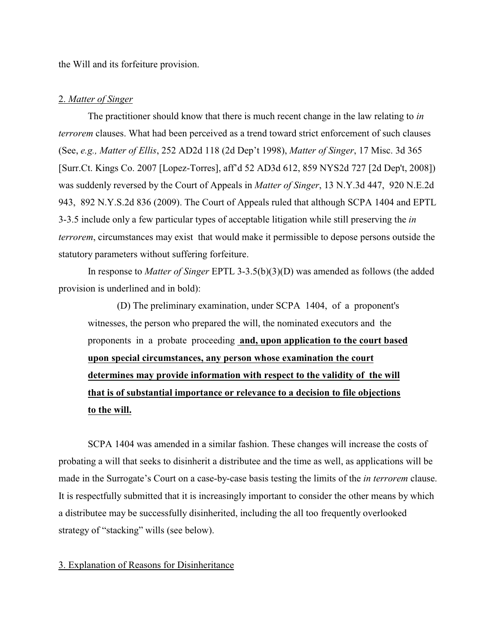the Will and its forfeiture provision.

#### 2. *Matter of Singer*

The practitioner should know that there is much recent change in the law relating to *in terrorem* clauses. What had been perceived as a trend toward strict enforcement of such clauses (See, *e.g., Matter of Ellis*, 252 AD2d 118 (2d Dep't 1998), *Matter of Singer*, 17 Misc. 3d 365 [Surr.Ct. Kings Co. 2007 [Lopez-Torres], aff'd 52 AD3d 612, 859 NYS2d 727 [2d Dep't, 2008]) was suddenly reversed by the Court of Appeals in *Matter of Singer*, 13 N.Y.3d 447, 920 N.E.2d 943, 892 N.Y.S.2d 836 (2009). The Court of Appeals ruled that although SCPA 1404 and EPTL 3-3.5 include only a few particular types of acceptable litigation while still preserving the *in terrorem*, circumstances may exist that would make it permissible to depose persons outside the statutory parameters without suffering forfeiture.

In response to *Matter of Singer* EPTL 3-3.5(b)(3)(D) was amended as follows (the added provision is underlined and in bold):

(D) The preliminary examination, under SCPA 1404, of a proponent's witnesses, the person who prepared the will, the nominated executors and the proponents in a probate proceeding **and, upon application to the court based upon special circumstances, any person whose examination the court determines may provide information with respect to the validity of the will that is of substantial importance or relevance to a decision to file objections to the will.**

SCPA 1404 was amended in a similar fashion. These changes will increase the costs of probating a will that seeks to disinherit a distributee and the time as well, as applications will be made in the Surrogate's Court on a case-by-case basis testing the limits of the *in terrorem* clause. It is respectfully submitted that it is increasingly important to consider the other means by which a distributee may be successfully disinherited, including the all too frequently overlooked strategy of "stacking" wills (see below).

#### 3. Explanation of Reasons for Disinheritance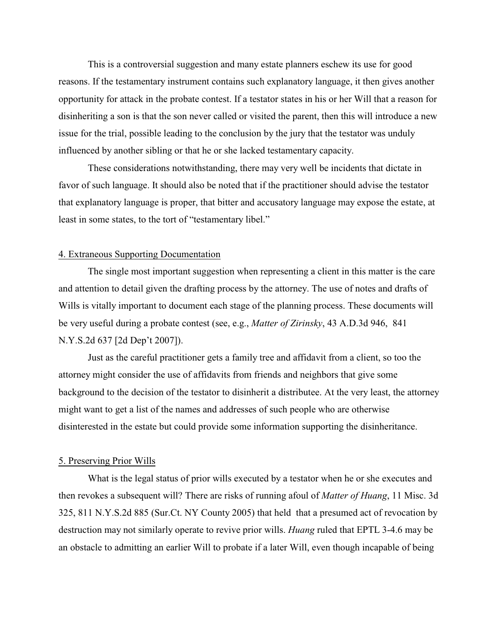This is a controversial suggestion and many estate planners eschew its use for good reasons. If the testamentary instrument contains such explanatory language, it then gives another opportunity for attack in the probate contest. If a testator states in his or her Will that a reason for disinheriting a son is that the son never called or visited the parent, then this will introduce a new issue for the trial, possible leading to the conclusion by the jury that the testator was unduly influenced by another sibling or that he or she lacked testamentary capacity.

These considerations notwithstanding, there may very well be incidents that dictate in favor of such language. It should also be noted that if the practitioner should advise the testator that explanatory language is proper, that bitter and accusatory language may expose the estate, at least in some states, to the tort of "testamentary libel."

#### 4. Extraneous Supporting Documentation

The single most important suggestion when representing a client in this matter is the care and attention to detail given the drafting process by the attorney. The use of notes and drafts of Wills is vitally important to document each stage of the planning process. These documents will be very useful during a probate contest (see, e.g., *Matter of Zirinsky*, 43 A.D.3d 946, 841 N.Y.S.2d 637 [2d Dep't 2007]).

Just as the careful practitioner gets a family tree and affidavit from a client, so too the attorney might consider the use of affidavits from friends and neighbors that give some background to the decision of the testator to disinherit a distributee. At the very least, the attorney might want to get a list of the names and addresses of such people who are otherwise disinterested in the estate but could provide some information supporting the disinheritance.

#### 5. Preserving Prior Wills

What is the legal status of prior wills executed by a testator when he or she executes and then revokes a subsequent will? There are risks of running afoul of *Matter of Huang*, 11 Misc. 3d 325, 811 N.Y.S.2d 885 (Sur.Ct. NY County 2005) that held that a presumed act of revocation by destruction may not similarly operate to revive prior wills. *Huang* ruled that EPTL 3-4.6 may be an obstacle to admitting an earlier Will to probate if a later Will, even though incapable of being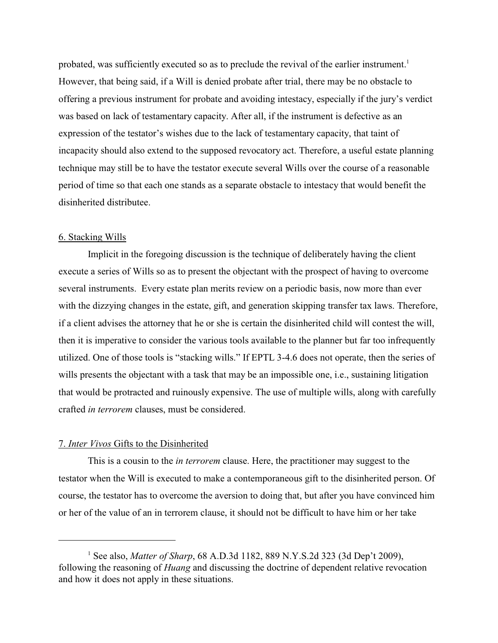probated, was sufficiently executed so as to preclude the revival of the earlier instrument.<sup>1</sup> However, that being said, if a Will is denied probate after trial, there may be no obstacle to offering a previous instrument for probate and avoiding intestacy, especially if the jury's verdict was based on lack of testamentary capacity. After all, if the instrument is defective as an expression of the testator's wishes due to the lack of testamentary capacity, that taint of incapacity should also extend to the supposed revocatory act. Therefore, a useful estate planning technique may still be to have the testator execute several Wills over the course of a reasonable period of time so that each one stands as a separate obstacle to intestacy that would benefit the disinherited distributee.

#### 6. Stacking Wills

Implicit in the foregoing discussion is the technique of deliberately having the client execute a series of Wills so as to present the objectant with the prospect of having to overcome several instruments. Every estate plan merits review on a periodic basis, now more than ever with the dizzying changes in the estate, gift, and generation skipping transfer tax laws. Therefore, if a client advises the attorney that he or she is certain the disinherited child will contest the will, then it is imperative to consider the various tools available to the planner but far too infrequently utilized. One of those tools is "stacking wills." If EPTL 3-4.6 does not operate, then the series of wills presents the objectant with a task that may be an impossible one, i.e., sustaining litigation that would be protracted and ruinously expensive. The use of multiple wills, along with carefully crafted *in terrorem* clauses, must be considered.

#### 7. *Inter Vivos* Gifts to the Disinherited

This is a cousin to the *in terrorem* clause. Here, the practitioner may suggest to the testator when the Will is executed to make a contemporaneous gift to the disinherited person. Of course, the testator has to overcome the aversion to doing that, but after you have convinced him or her of the value of an in terrorem clause, it should not be difficult to have him or her take

<sup>&</sup>lt;sup>1</sup> See also, *Matter of Sharp*, 68 A.D.3d 1182, 889 N.Y.S.2d 323 (3d Dep't 2009), following the reasoning of *Huang* and discussing the doctrine of dependent relative revocation and how it does not apply in these situations.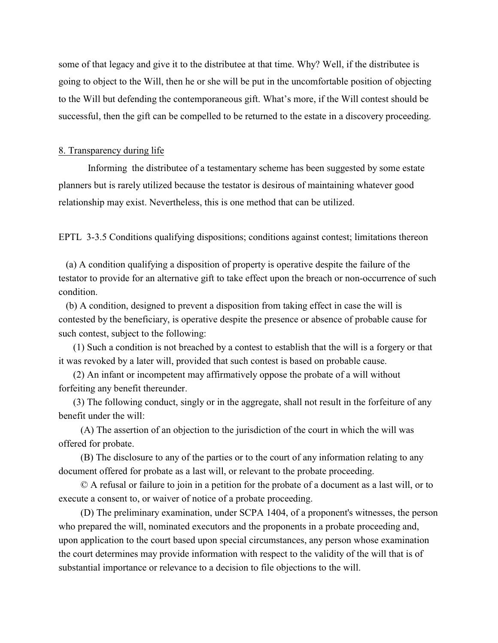some of that legacy and give it to the distributee at that time. Why? Well, if the distributee is going to object to the Will, then he or she will be put in the uncomfortable position of objecting to the Will but defending the contemporaneous gift. What's more, if the Will contest should be successful, then the gift can be compelled to be returned to the estate in a discovery proceeding.

#### 8. Transparency during life

Informing the distributee of a testamentary scheme has been suggested by some estate planners but is rarely utilized because the testator is desirous of maintaining whatever good relationship may exist. Nevertheless, this is one method that can be utilized.

EPTL 3-3.5 Conditions qualifying dispositions; conditions against contest; limitations thereon

 (a) A condition qualifying a disposition of property is operative despite the failure of the testator to provide for an alternative gift to take effect upon the breach or non-occurrence of such condition.

 (b) A condition, designed to prevent a disposition from taking effect in case the will is contested by the beneficiary, is operative despite the presence or absence of probable cause for such contest, subject to the following:

 (1) Such a condition is not breached by a contest to establish that the will is a forgery or that it was revoked by a later will, provided that such contest is based on probable cause.

 (2) An infant or incompetent may affirmatively oppose the probate of a will without forfeiting any benefit thereunder.

 (3) The following conduct, singly or in the aggregate, shall not result in the forfeiture of any benefit under the will:

 (A) The assertion of an objection to the jurisdiction of the court in which the will was offered for probate.

 (B) The disclosure to any of the parties or to the court of any information relating to any document offered for probate as a last will, or relevant to the probate proceeding.

 © A refusal or failure to join in a petition for the probate of a document as a last will, or to execute a consent to, or waiver of notice of a probate proceeding.

 (D) The preliminary examination, under SCPA 1404, of a proponent's witnesses, the person who prepared the will, nominated executors and the proponents in a probate proceeding and, upon application to the court based upon special circumstances, any person whose examination the court determines may provide information with respect to the validity of the will that is of substantial importance or relevance to a decision to file objections to the will.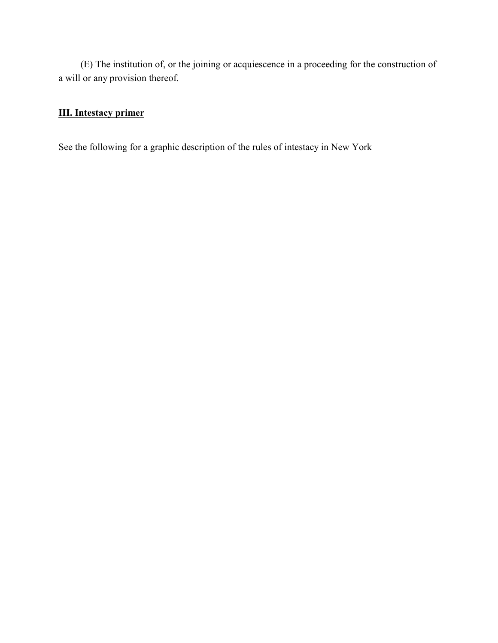(E) The institution of, or the joining or acquiescence in a proceeding for the construction of a will or any provision thereof.

### **III. Intestacy primer**

See the following for a graphic description of the rules of intestacy in New York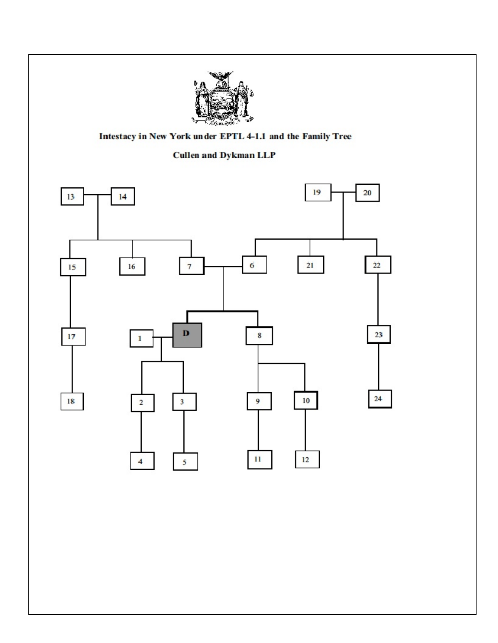

### Intestacy in New York under EPTL 4-1.1 and the Family Tree

### **Cullen and Dykman LLP**

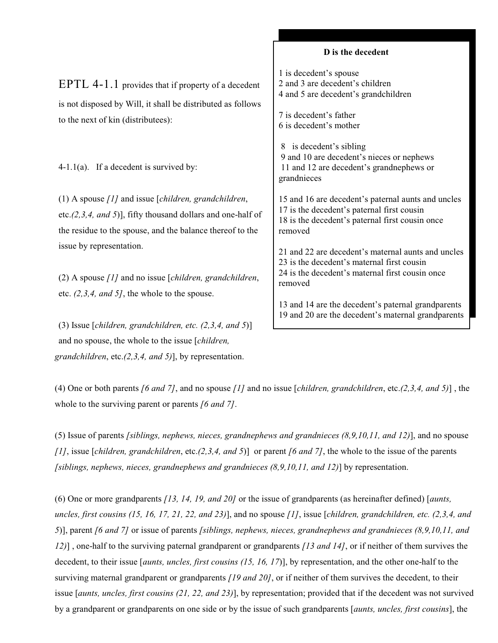|                                                                                                                                                                                        | D is the decedent                                                                                                                                              |
|----------------------------------------------------------------------------------------------------------------------------------------------------------------------------------------|----------------------------------------------------------------------------------------------------------------------------------------------------------------|
| EPTL 4-1.1 provides that if property of a decedent<br>is not disposed by Will, it shall be distributed as follows<br>to the next of kin (distributees):                                | 1 is decedent's spouse<br>2 and 3 are decedent's children<br>4 and 5 are decedent's grandchildren<br>7 is decedent's father<br>6 is decedent's mother          |
| 4-1.1(a). If a decedent is survived by:                                                                                                                                                | is decedent's sibling<br>8<br>9 and 10 are decedent's nieces or nephews<br>11 and 12 are decedent's grand nephews or<br>grandnieces                            |
| (1) A spouse $[1]$ and issue [children, grandchildren,<br>etc. $(2,3,4, and 5)$ ], fifty thousand dollars and one-half of<br>the residue to the spouse, and the balance thereof to the | 15 and 16 are decedent's paternal aunts and uncles<br>17 is the decedent's paternal first cousin<br>18 is the decedent's paternal first cousin once<br>removed |
| issue by representation.<br>(2) A spouse $[1]$ and no issue [ <i>children, grandchildren,</i><br>etc. $(2,3,4, and 5)$ , the whole to the spouse.                                      | 21 and 22 are decedent's maternal aunts and uncles<br>23 is the decedent's maternal first cousin<br>24 is the decedent's maternal first cousin once<br>removed |
|                                                                                                                                                                                        | 13 and 14 are the decedent's paternal grandparents                                                                                                             |

19 and 20 are the decedent's maternal grandparents

(3) Issue [*children, grandchildren, etc. (2,3,4, and 5*)] and no spouse, the whole to the issue [*children, grandchildren*, etc.*(2,3,4, and 5)*], by representation.

(4) One or both parents *[6 and 7]*, and no spouse *[1]* and no issue [*children, grandchildren*, etc.*(2,3,4, and 5)*] , the whole to the surviving parent or parents *[6 and 7]*.

(5) Issue of parents *[siblings, nephews, nieces, grandnephews and grandnieces (8,9,10,11, and 12)*], and no spouse *[1]*, issue [*children, grandchildren*, etc.*(2,3,4, and 5*)] or parent *[6 and 7]*, the whole to the issue of the parents *[siblings, nephews, nieces, grandnephews and grandnieces (8,9,10,11, and 12)*] by representation.

(6) One or more grandparents *[13, 14, 19, and 20]* or the issue of grandparents (as hereinafter defined) [*aunts, uncles, first cousins (15, 16, 17, 21, 22, and 23)*], and no spouse *[1]*, issue [*children, grandchildren, etc. (2,3,4, and 5*)], parent *[6 and 7]* or issue of parents *[siblings, nephews, nieces, grandnephews and grandnieces (8,9,10,11, and 12)*] , one-half to the surviving paternal grandparent or grandparents *[13 and 14]*, or if neither of them survives the decedent, to their issue [*aunts, uncles, first cousins (15, 16, 17*)], by representation, and the other one-half to the surviving maternal grandparent or grandparents *[19 and 20]*, or if neither of them survives the decedent, to their issue [*aunts, uncles, first cousins (21, 22, and 23)*], by representation; provided that if the decedent was not survived by a grandparent or grandparents on one side or by the issue of such grandparents [*aunts, uncles, first cousins*], the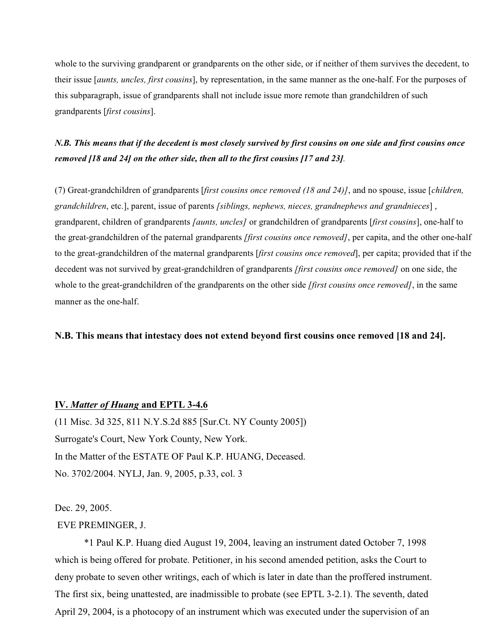whole to the surviving grandparent or grandparents on the other side, or if neither of them survives the decedent, to their issue [*aunts, uncles, first cousins*], by representation, in the same manner as the one-half. For the purposes of this subparagraph, issue of grandparents shall not include issue more remote than grandchildren of such grandparents [*first cousins*].

### *N.B. This means that if the decedent is most closely survived by first cousins on one side and first cousins once removed [18 and 24] on the other side, then all to the first cousins [17 and 23].*

(7) Great-grandchildren of grandparents [*first cousins once removed (18 and 24)]*, and no spouse, issue [*children, grandchildren*, etc.], parent, issue of parents *[siblings, nephews, nieces, grandnephews and grandnieces*] , grandparent, children of grandparents *[aunts, uncles]* or grandchildren of grandparents [*first cousins*], one-half to the great-grandchildren of the paternal grandparents *[first cousins once removed]*, per capita, and the other one-half to the great-grandchildren of the maternal grandparents [*first cousins once removed*], per capita; provided that if the decedent was not survived by great-grandchildren of grandparents *[first cousins once removed]* on one side, the whole to the great-grandchildren of the grandparents on the other side *[first cousins once removed]*, in the same manner as the one-half.

#### **N.B. This means that intestacy does not extend beyond first cousins once removed [18 and 24].**

#### **IV.** *Matter of Huang* **and EPTL 3-4.6**

(11 Misc. 3d 325, 811 N.Y.S.2d 885 [Sur.Ct. NY County 2005]) Surrogate's Court, New York County, New York. In the Matter of the ESTATE OF Paul K.P. HUANG, Deceased. No. 3702/2004. NYLJ, Jan. 9, 2005, p.33, col. 3

Dec. 29, 2005.

#### EVE PREMINGER, J.

\*1 Paul K.P. Huang died August 19, 2004, leaving an instrument dated October 7, 1998 which is being offered for probate. Petitioner, in his second amended petition, asks the Court to deny probate to seven other writings, each of which is later in date than the proffered instrument. The first six, being unattested, are inadmissible to probate (see EPTL 3-2.1). The seventh, dated April 29, 2004, is a photocopy of an instrument which was executed under the supervision of an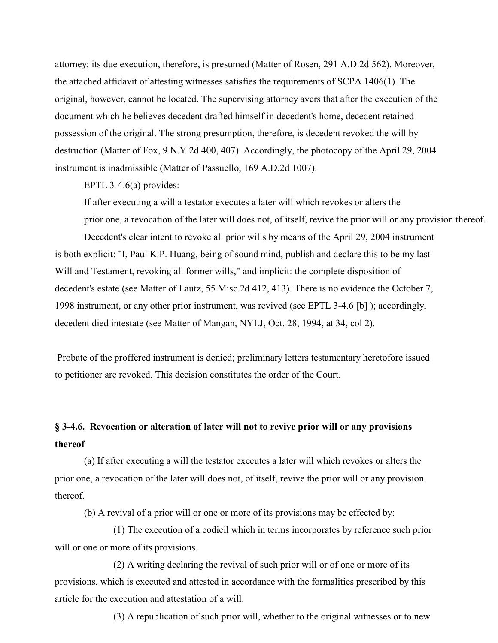attorney; its due execution, therefore, is presumed (Matter of Rosen, 291 A.D.2d 562). Moreover, the attached affidavit of attesting witnesses satisfies the requirements of SCPA 1406(1). The original, however, cannot be located. The supervising attorney avers that after the execution of the document which he believes decedent drafted himself in decedent's home, decedent retained possession of the original. The strong presumption, therefore, is decedent revoked the will by destruction (Matter of Fox, 9 N.Y.2d 400, 407). Accordingly, the photocopy of the April 29, 2004 instrument is inadmissible (Matter of Passuello, 169 A.D.2d 1007).

EPTL 3-4.6(a) provides:

If after executing a will a testator executes a later will which revokes or alters the prior one, a revocation of the later will does not, of itself, revive the prior will or any provision thereof.

Decedent's clear intent to revoke all prior wills by means of the April 29, 2004 instrument is both explicit: "I, Paul K.P. Huang, being of sound mind, publish and declare this to be my last Will and Testament, revoking all former wills," and implicit: the complete disposition of decedent's estate (see Matter of Lautz, 55 Misc.2d 412, 413). There is no evidence the October 7, 1998 instrument, or any other prior instrument, was revived (see EPTL 3-4.6 [b] ); accordingly, decedent died intestate (see Matter of Mangan, NYLJ, Oct. 28, 1994, at 34, col 2).

 Probate of the proffered instrument is denied; preliminary letters testamentary heretofore issued to petitioner are revoked. This decision constitutes the order of the Court.

## **§ 3-4.6. Revocation or alteration of later will not to revive prior will or any provisions thereof**

 (a) If after executing a will the testator executes a later will which revokes or alters the prior one, a revocation of the later will does not, of itself, revive the prior will or any provision thereof.

(b) A revival of a prior will or one or more of its provisions may be effected by:

(1) The execution of a codicil which in terms incorporates by reference such prior will or one or more of its provisions.

(2) A writing declaring the revival of such prior will or of one or more of its provisions, which is executed and attested in accordance with the formalities prescribed by this article for the execution and attestation of a will.

(3) A republication of such prior will, whether to the original witnesses or to new